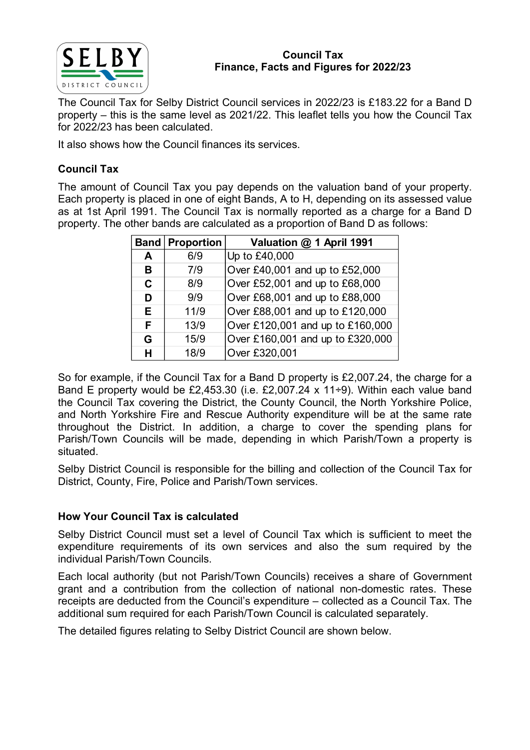

### Council Tax Finance, Facts and Figures for 2022/23

The Council Tax for Selby District Council services in 2022/23 is £183.22 for a Band D property – this is the same level as 2021/22. This leaflet tells you how the Council Tax for 2022/23 has been calculated.

It also shows how the Council finances its services.

# Council Tax

The amount of Council Tax you pay depends on the valuation band of your property. Each property is placed in one of eight Bands, A to H, depending on its assessed value as at 1st April 1991. The Council Tax is normally reported as a charge for a Band D property. The other bands are calculated as a proportion of Band D as follows:

| $\mathbf{Y}$ |                    | <b>Council Tax</b><br>Finance, Facts and Figures for 2022/23                                                                                                                                                           |  |
|--------------|--------------------|------------------------------------------------------------------------------------------------------------------------------------------------------------------------------------------------------------------------|--|
|              | s been calculated. | ax for Selby District Council services in 2022/23 is £183.22 for a Band D<br>is the same level as 2021/22. This leaflet tells you how the Council Tax                                                                  |  |
|              |                    | ow the Council finances its services.                                                                                                                                                                                  |  |
|              |                    |                                                                                                                                                                                                                        |  |
|              |                    | Council Tax you pay depends on the valuation band of your property.<br>is placed in one of eight Bands, A to H, depending on its assessed value<br>1991. The Council Tax is normally reported as a charge for a Band D |  |
| <b>Band</b>  | <b>Proportion</b>  | other bands are calculated as a proportion of Band D as follows:<br>Valuation @ 1 April 1991                                                                                                                           |  |
| A            | 6/9                | Up to £40,000                                                                                                                                                                                                          |  |
| B.           | 7/9                | Over £40,001 and up to £52,000                                                                                                                                                                                         |  |
| C            | 8/9                | Over £52,001 and up to £68,000                                                                                                                                                                                         |  |
| D            | 9/9                | Over £68,001 and up to £88,000                                                                                                                                                                                         |  |
| E            | 11/9               | Over £88,001 and up to £120,000                                                                                                                                                                                        |  |
| F            | 13/9               | Over £120,001 and up to £160,000                                                                                                                                                                                       |  |
| G            | 15/9               | Over £160,001 and up to £320,000                                                                                                                                                                                       |  |

So for example, if the Council Tax for a Band D property is £2,007.24, the charge for a Band E property would be £2,453.30 (i.e. £2,007.24 x 11÷9). Within each value band the Council Tax covering the District, the County Council, the North Yorkshire Police, and North Yorkshire Fire and Rescue Authority expenditure will be at the same rate throughout the District. In addition, a charge to cover the spending plans for Parish/Town Councils will be made, depending in which Parish/Town a property is situated.

Selby District Council is responsible for the billing and collection of the Council Tax for District, County, Fire, Police and Parish/Town services.

# How Your Council Tax is calculated

Selby District Council must set a level of Council Tax which is sufficient to meet the expenditure requirements of its own services and also the sum required by the individual Parish/Town Councils.

Each local authority (but not Parish/Town Councils) receives a share of Government grant and a contribution from the collection of national non-domestic rates. These receipts are deducted from the Council's expenditure – collected as a Council Tax. The additional sum required for each Parish/Town Council is calculated separately.

The detailed figures relating to Selby District Council are shown below.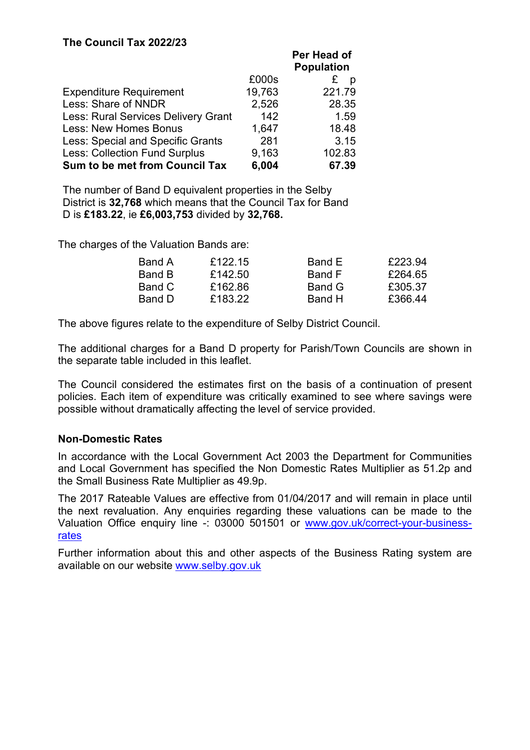# The Council Tax 2022/23

|                                      |        | Per Head of<br><b>Population</b> |
|--------------------------------------|--------|----------------------------------|
|                                      | £000s  | £                                |
| <b>Expenditure Requirement</b>       | 19,763 | 221.79                           |
| Less: Share of NNDR                  | 2,526  | 28.35                            |
| Less: Rural Services Delivery Grant  | 142    | 1.59                             |
| <b>Less: New Homes Bonus</b>         | 1,647  | 18.48                            |
| Less: Special and Specific Grants    | 281    | 3.15                             |
| <b>Less: Collection Fund Surplus</b> | 9,163  | 102.83                           |
| Sum to be met from Council Tax       | 6,004  | 67.39                            |

The number of Band D equivalent properties in the Selby District is 32,768 which means that the Council Tax for Band D is £183.22, ie £6,003,753 divided by 32,768.

The charges of the Valuation Bands are:

| Band A | £122.15 | Band E | £223.94 |
|--------|---------|--------|---------|
| Band B | £142.50 | Band F | £264.65 |
| Band C | £162.86 | Band G | £305.37 |
| Band D | £183.22 | Band H | £366.44 |

The above figures relate to the expenditure of Selby District Council.

The additional charges for a Band D property for Parish/Town Councils are shown in the separate table included in this leaflet.

The Council considered the estimates first on the basis of a continuation of present policies. Each item of expenditure was critically examined to see where savings were possible without dramatically affecting the level of service provided.

### Non-Domestic Rates

In accordance with the Local Government Act 2003 the Department for Communities and Local Government has specified the Non Domestic Rates Multiplier as 51.2p and the Small Business Rate Multiplier as 49.9p.

The 2017 Rateable Values are effective from 01/04/2017 and will remain in place until the next revaluation. Any enquiries regarding these valuations can be made to the Valuation Office enquiry line -: 03000 501501 or www.gov.uk/correct-your-businessrates

Further information about this and other aspects of the Business Rating system are available on our website www.selby.gov.uk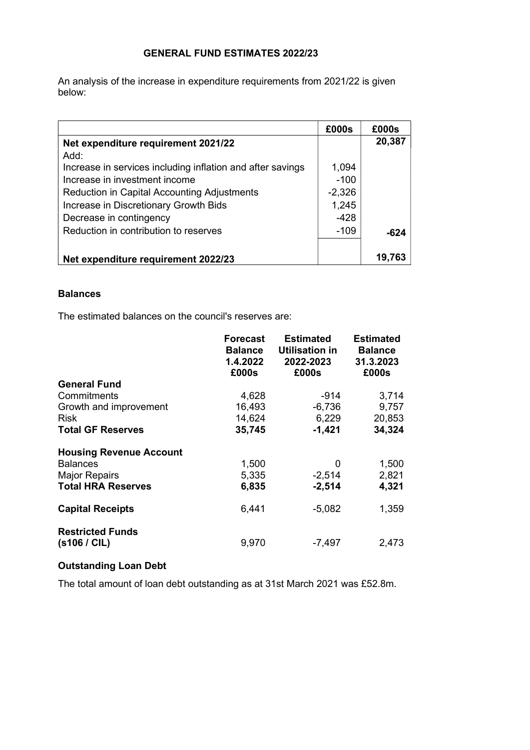### GENERAL FUND ESTIMATES 2022/23

An analysis of the increase in expenditure requirements from 2021/22 is given below:

|                                                            | £000s    | £000s  |
|------------------------------------------------------------|----------|--------|
| Net expenditure requirement 2021/22                        |          | 20,387 |
| Add:                                                       |          |        |
| Increase in services including inflation and after savings | 1,094    |        |
| Increase in investment income                              | $-100$   |        |
| <b>Reduction in Capital Accounting Adjustments</b>         | $-2,326$ |        |
| Increase in Discretionary Growth Bids                      | 1,245    |        |
| Decrease in contingency                                    | -428     |        |
| Reduction in contribution to reserves                      | $-109$   | -624   |
|                                                            |          |        |
| Net expenditure requirement 2022/23                        |          | 19.763 |

### **Balances**

The estimated balances on the council's reserves are:

|                                         | <b>Forecast</b><br><b>Balance</b><br>1.4.2022<br>£000s | <b>Estimated</b><br><b>Utilisation in</b><br>2022-2023<br>£000s | <b>Estimated</b><br><b>Balance</b><br>31.3.2023<br>£000s |
|-----------------------------------------|--------------------------------------------------------|-----------------------------------------------------------------|----------------------------------------------------------|
| <b>General Fund</b>                     |                                                        |                                                                 |                                                          |
| Commitments                             | 4,628                                                  | -914                                                            | 3,714                                                    |
| Growth and improvement                  | 16,493                                                 | $-6,736$                                                        | 9,757                                                    |
| <b>Risk</b>                             | 14,624                                                 | 6,229                                                           | 20,853                                                   |
| <b>Total GF Reserves</b>                | 35,745                                                 | $-1,421$                                                        | 34,324                                                   |
| <b>Housing Revenue Account</b>          |                                                        |                                                                 |                                                          |
| <b>Balances</b>                         | 1,500                                                  | 0                                                               | 1,500                                                    |
| <b>Major Repairs</b>                    | 5,335                                                  | $-2,514$                                                        | 2,821                                                    |
| <b>Total HRA Reserves</b>               | 6,835                                                  | $-2,514$                                                        | 4,321                                                    |
| <b>Capital Receipts</b>                 | 6,441                                                  | $-5.082$                                                        | 1,359                                                    |
| <b>Restricted Funds</b><br>(s106 / CIL) | 9,970                                                  | $-7,497$                                                        | 2,473                                                    |

## Outstanding Loan Debt

The total amount of loan debt outstanding as at 31st March 2021 was £52.8m.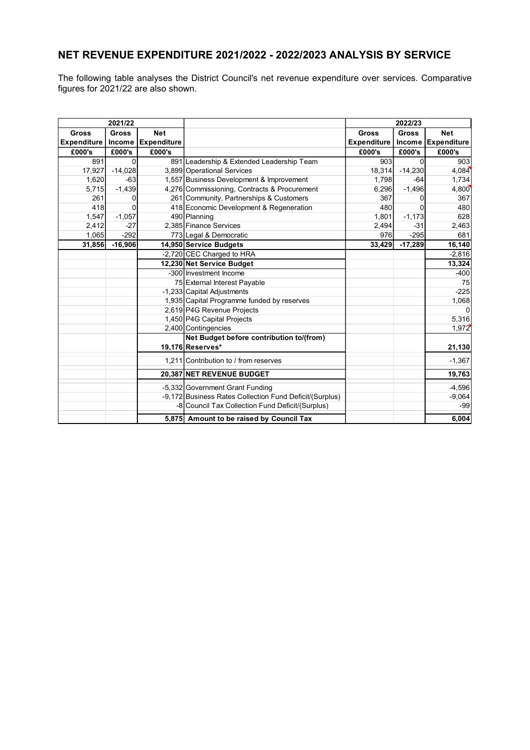# NET REVENUE EXPENDITURE 2021/2022 - 2022/2023 ANALYSIS BY SERVICE

The following table analyses the District Council's net revenue expenditure over services. Comparative figures for 2021/22 are also shown.

|                    | 2021/22      |                    |                                                         | 2022/23            |              |             |
|--------------------|--------------|--------------------|---------------------------------------------------------|--------------------|--------------|-------------|
| <b>Gross</b>       | <b>Gross</b> | <b>Net</b>         |                                                         | <b>Gross</b>       | <b>Gross</b> | <b>Net</b>  |
| <b>Expenditure</b> | Income       | <b>Expenditure</b> |                                                         | <b>Expenditure</b> | Income       | Expenditure |
| £000's             | £000's       | £000's             |                                                         | £000's             | £000's       | £000's      |
| 891                | 0            |                    | 891 Leadership & Extended Leadership Team               | 903                | $\Omega$     | 903         |
| 17,927             | $-14,028$    |                    | 3,899 Operational Services                              | 18,314             | $-14,230$    | 4,084       |
| 1,620              | $-63$        |                    | 1,557 Business Development & Improvement                | 1,798              | $-64$        | 1,734       |
| 5,715              | $-1,439$     |                    | 4,276 Commissioning, Contracts & Procurement            | 6,296              | $-1,496$     | 4,800       |
| 261                | 0            |                    | 261 Community, Partnerships & Customers                 | 367                | O            | 367         |
| 418                | 0            |                    | 418 Economic Development & Regeneration                 | 480                | 0            | 480         |
| 1,547              | $-1,057$     |                    | 490 Planning                                            | 1,801              | $-1,173$     | 628         |
| 2,412              | $-27$        |                    | 2,385 Finance Services                                  | 2,494              | $-31$        | 2,463       |
| 1,065              | $-292$       |                    | 773 Legal & Democratic                                  | 976                | $-295$       | 681         |
| 31,856             | $-16,906$    |                    | 14,950 Service Budgets                                  | 33,429             | $-17,289$    | 16,140      |
|                    |              |                    | -2,720 CEC Charged to HRA                               |                    |              | $-2,816$    |
|                    |              |                    | 12,230 Net Service Budget                               |                    |              | 13,324      |
|                    |              |                    | -300 Investment Income                                  |                    |              | $-400$      |
|                    |              |                    | 75 External Interest Payable                            |                    |              | 75          |
|                    |              |                    | -1,233 Capital Adjustments                              |                    |              | $-225$      |
|                    |              |                    | 1,935 Capital Programme funded by reserves              |                    |              | 1,068       |
|                    |              |                    | 2,619 P4G Revenue Projects                              |                    |              | $\Omega$    |
|                    |              |                    | 1,450 P4G Capital Projects                              |                    |              | 5,316       |
|                    |              |                    | 2,400 Contingencies                                     |                    |              | 1,972       |
|                    |              |                    | Net Budget before contribution to/(from)                |                    |              |             |
|                    |              |                    | 19,176 Reserves*                                        |                    |              | 21,130      |
|                    |              |                    | 1.211 Contribution to / from reserves                   |                    |              | $-1,367$    |
|                    |              |                    | 20,387 NET REVENUE BUDGET                               |                    |              | 19,763      |
|                    |              |                    | -5,332 Government Grant Funding                         |                    |              | $-4,596$    |
|                    |              |                    | -9,172 Business Rates Collection Fund Deficit/(Surplus) |                    |              | $-9,064$    |
|                    |              |                    | -8 Council Tax Collection Fund Deficit/(Surplus)        |                    |              | -99         |
|                    |              |                    | 5,875 Amount to be raised by Council Tax                |                    |              | 6,004       |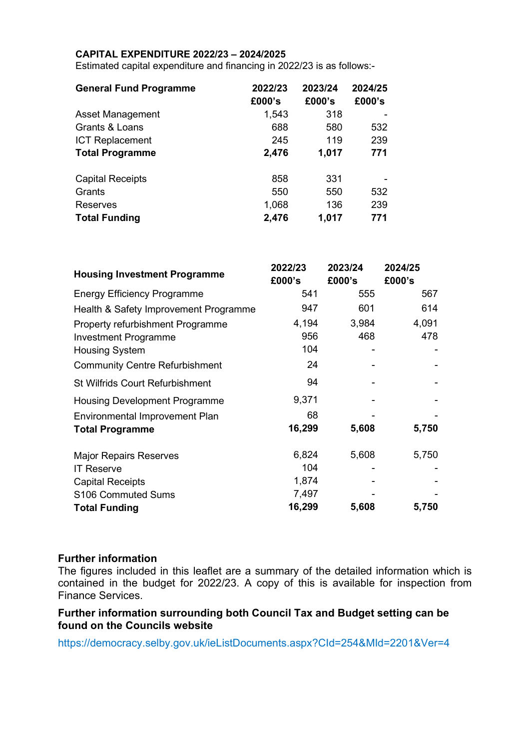### CAPITAL EXPENDITURE 2022/23 – 2024/2025

Estimated capital expenditure and financing in 2022/23 is as follows:-

| <b>General Fund Programme</b> | 2022/23<br>£000's | 2023/24<br>£000's | 2024/25<br>£000's |
|-------------------------------|-------------------|-------------------|-------------------|
| Asset Management              | 1,543             | 318               |                   |
| Grants & Loans                | 688               | 580               | 532               |
| <b>ICT Replacement</b>        | 245               | 119               | 239               |
| <b>Total Programme</b>        | 2,476             | 1,017             | 771               |
| <b>Capital Receipts</b>       | 858               | 331               |                   |
| Grants                        | 550               | 550               | 532               |
| <b>Reserves</b>               | 1,068             | 136               | 239               |
| <b>Total Funding</b>          | 2,476             | 1,017             | 771               |

| <b>Housing Investment Programme</b>     | 2022/23 | 2023/24 | 2024/25 |
|-----------------------------------------|---------|---------|---------|
|                                         | £000's  | £000's  | £000's  |
| <b>Energy Efficiency Programme</b>      | 541     | 555     | 567     |
| Health & Safety Improvement Programme   | 947     | 601     | 614     |
| <b>Property refurbishment Programme</b> | 4,194   | 3,984   | 4,091   |
| <b>Investment Programme</b>             | 956     | 468     | 478     |
| <b>Housing System</b>                   | 104     |         |         |
| <b>Community Centre Refurbishment</b>   | 24      |         |         |
| <b>St Wilfrids Court Refurbishment</b>  | 94      |         |         |
| <b>Housing Development Programme</b>    | 9,371   |         |         |
| Environmental Improvement Plan          | 68      |         |         |
| <b>Total Programme</b>                  | 16,299  | 5,608   | 5,750   |
| <b>Major Repairs Reserves</b>           | 6,824   | 5,608   | 5,750   |
| <b>IT Reserve</b>                       | 104     |         |         |
| <b>Capital Receipts</b>                 | 1,874   |         |         |
| S106 Commuted Sums                      | 7,497   |         |         |
| <b>Total Funding</b>                    | 16,299  | 5,608   | 5,750   |

### Further information

The figures included in this leaflet are a summary of the detailed information which is contained in the budget for 2022/23. A copy of this is available for inspection from Finance Services.

### Further information surrounding both Council Tax and Budget setting can be found on the Councils website

https://democracy.selby.gov.uk/ieListDocuments.aspx?CId=254&MId=2201&Ver=4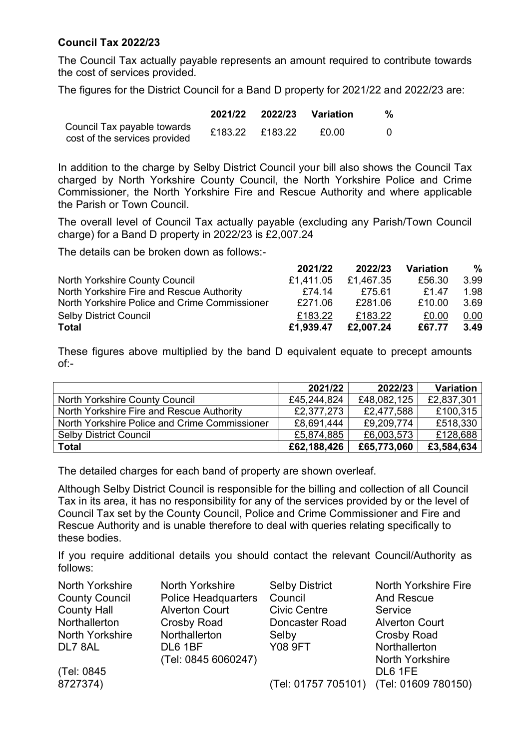## Council Tax 2022/23

The Council Tax actually payable represents an amount required to contribute towards the cost of services provided.

The figures for the District Council for a Band D property for 2021/22 and 2022/23 are:

|                                                              |                 | 2021/22 2022/23 Variation | % |
|--------------------------------------------------------------|-----------------|---------------------------|---|
| Council Tax payable towards<br>cost of the services provided | £183.22 £183.22 | £0.00                     |   |

In addition to the charge by Selby District Council your bill also shows the Council Tax charged by North Yorkshire County Council, the North Yorkshire Police and Crime Commissioner, the North Yorkshire Fire and Rescue Authority and where applicable the Parish or Town Council.

The overall level of Council Tax actually payable (excluding any Parish/Town Council charge) for a Band D property in 2022/23 is £2,007.24

The details can be broken down as follows:-

|                                               | 2021/22   | 2022/23   | Variation   | %    |
|-----------------------------------------------|-----------|-----------|-------------|------|
| North Yorkshire County Council                | £1.411.05 | £1.467.35 | £56.30      | 3.99 |
| North Yorkshire Fire and Rescue Authority     | £74.14    | £75.61    | <b>£147</b> | 1.98 |
| North Yorkshire Police and Crime Commissioner | £271.06   | £281.06   | £10.00      | 3.69 |
| <b>Selby District Council</b>                 | £183.22   | £183.22   | £0.00       | 0.00 |
| Total                                         | £1,939.47 | £2,007.24 | £67.77      | 3.49 |

These figures above multiplied by the band D equivalent equate to precept amounts of:-

|                                               | 2021/22     | 2022/23     | <b>Variation</b> |
|-----------------------------------------------|-------------|-------------|------------------|
| North Yorkshire County Council                | £45,244,824 | £48,082,125 | £2,837,301       |
| North Yorkshire Fire and Rescue Authority     | £2,377,273  | £2,477,588  | £100,315         |
| North Yorkshire Police and Crime Commissioner | £8,691,444  | £9,209,774  | £518,330         |
| <b>Selby District Council</b>                 | £5,874,885  | £6,003,573  | £128,688         |
| <b>Total</b>                                  | £62,188,426 | £65,773,060 | £3,584,634       |

The detailed charges for each band of property are shown overleaf.

Although Selby District Council is responsible for the billing and collection of all Council Tax in its area, it has no responsibility for any of the services provided by or the level of Council Tax set by the County Council, Police and Crime Commissioner and Fire and Rescue Authority and is unable therefore to deal with queries relating specifically to these bodies.

If you require additional details you should contact the relevant Council/Authority as follows:

| North Yorkshire       | <b>North Yorkshire</b>     | <b>Selby District</b>                   | <b>North Yorkshire Fire</b> |
|-----------------------|----------------------------|-----------------------------------------|-----------------------------|
| <b>County Council</b> | <b>Police Headquarters</b> | Council                                 | <b>And Rescue</b>           |
| <b>County Hall</b>    | <b>Alverton Court</b>      | <b>Civic Centre</b>                     | Service                     |
| Northallerton         | <b>Crosby Road</b>         | Doncaster Road                          | <b>Alverton Court</b>       |
| North Yorkshire       | Northallerton              | Selby                                   | <b>Crosby Road</b>          |
| DL7 8AL               | DL6 1BF                    | <b>Y08 9FT</b>                          | Northallerton               |
|                       | (Tel: 0845 6060247)        |                                         | <b>North Yorkshire</b>      |
| (Tel: 0845)           |                            |                                         | DL6 1FE                     |
| 8727374)              |                            | (Tel: 01757 705101) (Tel: 01609 780150) |                             |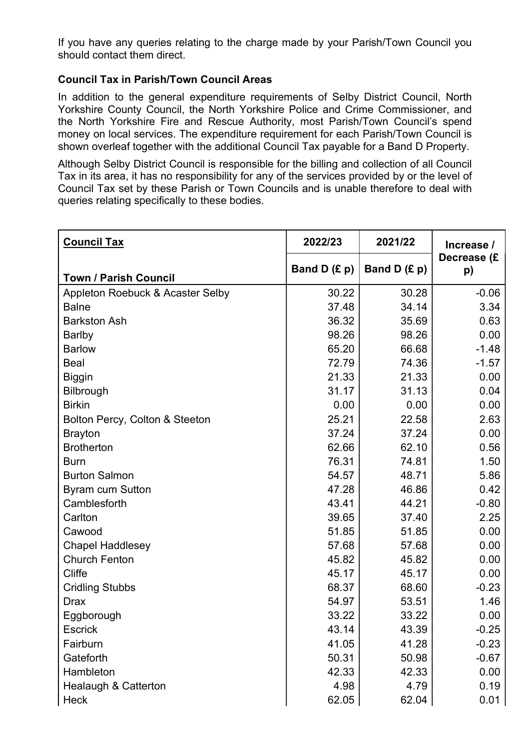If you have any queries relating to the charge made by your Parish/Town Council you should contact them direct.

## Council Tax in Parish/Town Council Areas

In addition to the general expenditure requirements of Selby District Council, North Yorkshire County Council, the North Yorkshire Police and Crime Commissioner, and the North Yorkshire Fire and Rescue Authority, most Parish/Town Council's spend money on local services. The expenditure requirement for each Parish/Town Council is shown overleaf together with the additional Council Tax payable for a Band D Property.

Although Selby District Council is responsible for the billing and collection of all Council Tax in its area, it has no responsibility for any of the services provided by or the level of Council Tax set by these Parish or Town Councils and is unable therefore to deal with queries relating specifically to these bodies.

| <b>Council Tax</b>               | 2022/23        | 2021/22        | Increase /        |
|----------------------------------|----------------|----------------|-------------------|
| <b>Town / Parish Council</b>     | Band D $(E p)$ | Band D $(E p)$ | Decrease (£<br>p) |
| Appleton Roebuck & Acaster Selby | 30.22          | 30.28          | $-0.06$           |
| <b>Balne</b>                     | 37.48          | 34.14          | 3.34              |
| <b>Barkston Ash</b>              | 36.32          | 35.69          | 0.63              |
| <b>Barlby</b>                    | 98.26          | 98.26          | 0.00              |
| <b>Barlow</b>                    | 65.20          | 66.68          | $-1.48$           |
| <b>Beal</b>                      | 72.79          | 74.36          | $-1.57$           |
| <b>Biggin</b>                    | 21.33          | 21.33          | 0.00              |
| Bilbrough                        | 31.17          | 31.13          | 0.04              |
| <b>Birkin</b>                    | 0.00           | 0.00           | 0.00              |
| Bolton Percy, Colton & Steeton   | 25.21          | 22.58          | 2.63              |
| <b>Brayton</b>                   | 37.24          | 37.24          | 0.00              |
| <b>Brotherton</b>                | 62.66          | 62.10          | 0.56              |
| <b>Burn</b>                      | 76.31          | 74.81          | 1.50              |
| <b>Burton Salmon</b>             | 54.57          | 48.71          | 5.86              |
| <b>Byram cum Sutton</b>          | 47.28          | 46.86          | 0.42              |
| Camblesforth                     | 43.41          | 44.21          | $-0.80$           |
| Carlton                          | 39.65          | 37.40          | 2.25              |
| Cawood                           | 51.85          | 51.85          | 0.00              |
| <b>Chapel Haddlesey</b>          | 57.68          | 57.68          | 0.00              |
| <b>Church Fenton</b>             | 45.82          | 45.82          | 0.00              |
| Cliffe                           | 45.17          | 45.17          | 0.00              |
| <b>Cridling Stubbs</b>           | 68.37          | 68.60          | $-0.23$           |
| <b>Drax</b>                      | 54.97          | 53.51          | 1.46              |
| Eggborough                       | 33.22          | 33.22          | 0.00              |
| <b>Escrick</b>                   | 43.14          | 43.39          | $-0.25$           |
| Fairburn                         | 41.05          | 41.28          | $-0.23$           |
| Gateforth                        | 50.31          | 50.98          | $-0.67$           |
| Hambleton                        | 42.33          | 42.33          | 0.00              |
| Healaugh & Catterton             | 4.98           | 4.79           | 0.19              |
| <b>Heck</b>                      | 62.05          | 62.04          | 0.01              |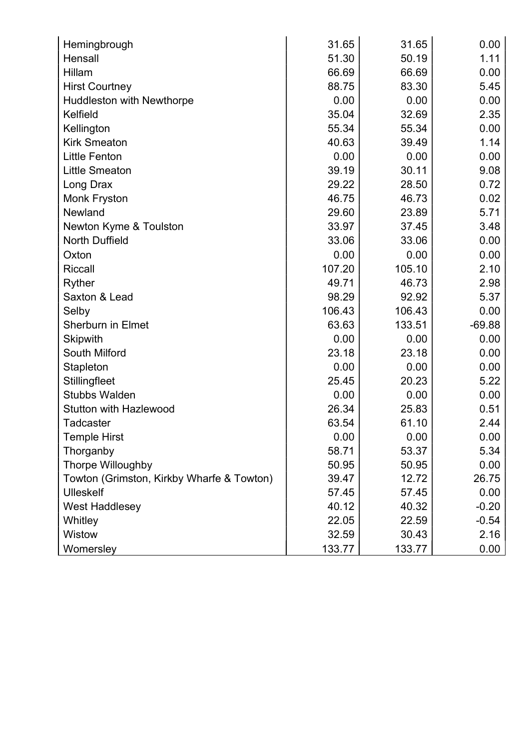| Hemingbrough                              | 31.65  | 31.65  | 0.00     |
|-------------------------------------------|--------|--------|----------|
| Hensall                                   | 51.30  | 50.19  | 1.11     |
| Hillam                                    | 66.69  | 66.69  | 0.00     |
| <b>Hirst Courtney</b>                     | 88.75  | 83.30  | 5.45     |
| Huddleston with Newthorpe                 | 0.00   | 0.00   | 0.00     |
| Kelfield                                  | 35.04  | 32.69  | 2.35     |
| Kellington                                | 55.34  | 55.34  | 0.00     |
| <b>Kirk Smeaton</b>                       | 40.63  | 39.49  | 1.14     |
| <b>Little Fenton</b>                      | 0.00   | 0.00   | 0.00     |
| <b>Little Smeaton</b>                     | 39.19  | 30.11  | 9.08     |
| Long Drax                                 | 29.22  | 28.50  | 0.72     |
| Monk Fryston                              | 46.75  | 46.73  | 0.02     |
| Newland                                   | 29.60  | 23.89  | 5.71     |
| Newton Kyme & Toulston                    | 33.97  | 37.45  | 3.48     |
| <b>North Duffield</b>                     | 33.06  | 33.06  | 0.00     |
| Oxton                                     | 0.00   | 0.00   | 0.00     |
| <b>Riccall</b>                            | 107.20 | 105.10 | 2.10     |
| Ryther                                    | 49.71  | 46.73  | 2.98     |
| Saxton & Lead                             | 98.29  | 92.92  | 5.37     |
| Selby                                     | 106.43 | 106.43 | 0.00     |
| <b>Sherburn in Elmet</b>                  | 63.63  | 133.51 | $-69.88$ |
| <b>Skipwith</b>                           | 0.00   | 0.00   | 0.00     |
| <b>South Milford</b>                      | 23.18  | 23.18  | 0.00     |
| Stapleton                                 | 0.00   | 0.00   | 0.00     |
| Stillingfleet                             | 25.45  | 20.23  | 5.22     |
| <b>Stubbs Walden</b>                      | 0.00   | 0.00   | 0.00     |
| <b>Stutton with Hazlewood</b>             | 26.34  | 25.83  | 0.51     |
| <b>Tadcaster</b>                          | 63.54  | 61.10  | 2.44     |
| <b>Temple Hirst</b>                       | 0.00   | 0.00   | 0.00     |
| Thorganby                                 | 58.71  | 53.37  | 5.34     |
| Thorpe Willoughby                         | 50.95  | 50.95  | 0.00     |
| Towton (Grimston, Kirkby Wharfe & Towton) | 39.47  | 12.72  | 26.75    |
| <b>Ulleskelf</b>                          | 57.45  | 57.45  | 0.00     |
| <b>West Haddlesey</b>                     | 40.12  | 40.32  | $-0.20$  |
| Whitley                                   | 22.05  | 22.59  | $-0.54$  |
| <b>Wistow</b>                             | 32.59  | 30.43  | 2.16     |
| Womersley                                 | 133.77 | 133.77 | 0.00     |